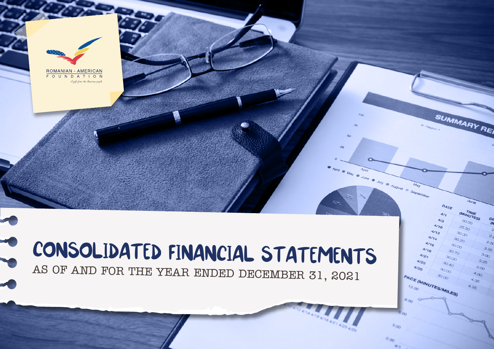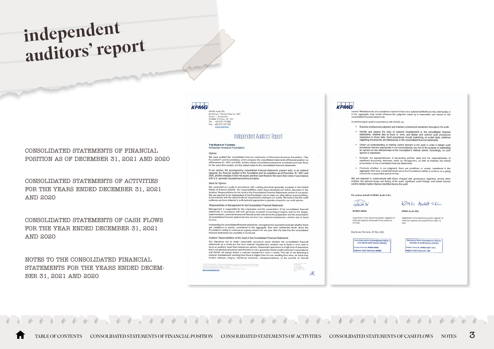# <span id="page-2-0"></span>independent auditors' report

CONSOLIDATED STATEMENTS OF FINANCIAL [POSITION AS OF DECEMBER 31, 2021 AND 2020](#page-3-0)

CONSOLIDATED STATEMENTS OF ACTIVITIES [FOR THE YEARS ENDED DECEMBER 31, 2021](#page-4-0) AND 2020

[CONSOLIDATED STATEMENTS OF CASH FLOWS](#page-6-0) FOR THE YEAR ENDED DECEMBER 31, 2021 AND 2020

NOTES TO THE CONSOLIDATED FINANCIAL [STATEMENTS FOR THE YEARS ENDED DECEM-](#page-7-0)BER 31, 2021 AND 2020

## KPMG

KPMG Audit SRL<br>Bucharest - Ploiești Road no. 89A<br>Sector 1, Bucharest<br>013685, P.O.Box 18 - 191 Tel: +40 372 377 800<br>Fax: +40 372 377 700 www.kpmg.ro

#### Independent Auditors' Report

#### The Board of Trustees Romanian-American Foundation

#### Opinion

We have audited the consolidated financial statements of Romanian-American Foundation ("the Foundation") and its subsidiary, which comprise the consolidated statements of financial position as<br>of December 31, 2021 and 2020, and the related consolidated statements of financial position as<br>for the years then ended,

In our opinion, the accompanying consolidated financial statements present fairly, in all material in our opinions, and comparison of the Foundation and its subsidiary as of December 31, 2021 and<br>respects, the financial position of the Foundation and its subsidiary as of December 31, 2021 and<br>2020, and the changes in th with U.S. generally accepted accounting principles.

#### Basis for Opinion

We conducted our audits in accordance with auditing standards generally accepted in the United States of America (GAAS). Our responsibilities under those standards are further described in the Auditors' Responsibilities for the Audit of the Consolidated Financial Statements section of our report We are required to be independent of the Foundation and to meet our other ethical responsibilities. in accordance with the relevant ethical requirements relating to our audits. We believe that the audit evidence we have obtained is sufficient and appropriate to provide a basis for our audit opinion

Responsibilities of Management for the Consolidated Financial Statements

Management is responsible for the preparation and fair presentation of the consolidated financial statements in accordance with U.S. generally accepted accounting principles, and for the design,<br>implementation, and maintenance of internal control relevant to the preparation and fair precises.<br>Implementation, and mainte or error

In preparing the consolidated financial statements, management is required to evaluate whether there<br>are conditions or events, considered in the aggregate, that raise substantial doubt about the Foundation's ability to continue as a going concern for one year after the date that the consolidated financial statements are available to be issued.

#### Auditors' Responsibilities for the Audit of the Consolidated Financial Statements

Our objectives are to obtain reasonable assurance about whether the consolidated financial developped was a whole are free from material misstatement, whether due to fraud or error, and to<br>statements as a whole are free from material misstatement, whether due to fraud or error, and to<br>lissue an auditors' report with GAAS will always detect a material misstatement when it exists. The risk of not detecting a<br>material misstatement resulting from fraud is higher than for one resulting from error, as fraud may<br>involve collusion, torge

iR.



control. Misstatements are considered material if there is a substantial likelihood that, individually or in the aggregate, they would influence the judgment made by a reasonable user based on the consolidated financial statements

In performing an audit in accordance with GAAS, we:

- . Exercise professional judgment and maintain professional skepticism throughout the audit.
- Identify and assess the risks of material misstatement of the consolidated financial statements, whether due to fraud or error, and design and perform audit procedures responsive to those risks. Such procedures include examining, on a test basis, evidence regarding the amounts and disclosures in the consolidated financial statements
- . Obtain an understanding of internal control relevant to the audit in order to design audit become an unusus annual of the measurement of the state of the purpose of expressing procedures that are appropriate in the circumstances, but not for the purpose of expressing an opinion on the effectiveness of the Founda opinion is expressed.
- . Evaluate the appropriateness of accounting policies used and the reasonableness of significant accounting estimates made by management, as well as evaluate the overall presentation of the consolidated financial statements.
- . Conclude whether, in our judgment, there are conditions or events, considered in the aggregate, that raise substantial doubt about the Foundation's ability to continue as a going concern for a reasonable period of time.

We are required to communicate with those charged with governance regarding, among other<br>matters, the planned scope and timing of the audit, significant audit findings, and certain internal<br>control related matters that we

For and on behalf of KPMG Audit S.R.L.

**RUBELI IRINA** 

#### Subeli

#### **KPMG Audit SRL**

registered in the electronic public register of registered in the electronic public register of<br>financial auditors and audit firms under no<br>AF4092

registered in the electronic public register of<br>financial auditors and audit firms under no

KPMG Audit SRL

Bucharest, Romania, 23 May 2022

**Acritatea pentru Supravegherea Publică a**<br>Activității de Audit Statutar (ASPAAS) **Ror financiar: RUBELI BUNA** eistrul Public Electronic: AF401

oritatea Pentru Supravegherea Publică Activității de Audit Statutar (ASPAAS) ditor financiar: KPMG AUDIT S.R.L. **Registru Public Elec** 

TABLE OF CONTENTS [CONSOLIDATED STATEMENTS OF FINANCIAL POSITION](#page-3-0) [CONSOLIDATED STATEMENTS OF ACTIVITIES](#page-4-0) [CONSOLIDATED STATEMENTS OF CASH FLOWS](#page-6-0) [NOTES](#page-7-0)  $3$ 

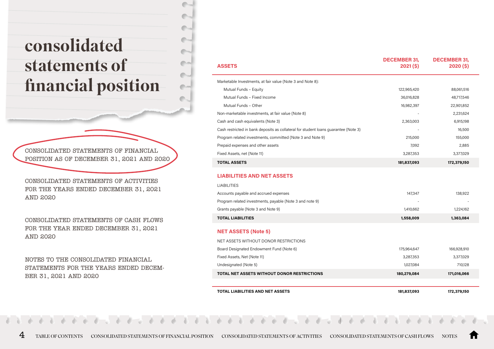# <span id="page-3-0"></span>consolidated statements of financial position

CONSOLIDATED STATEMENTS OF FINANCIAL POSITION AS OF DECEMBER 31, 2021 AND 2020

CONSOLIDATED STATEMENTS OF ACTIVITIES [FOR THE YEARS ENDED DECEMBER 31, 2021](#page-4-0) AND 2020

[CONSOLIDATED STATEMENTS OF CASH FLOWS](#page-6-0) FOR THE YEAR ENDED DECEMBER 31, 2021 AND 2020

NOTES TO THE CONSOLIDATED FINANCIAL [STATEMENTS FOR THE YEARS ENDED DECEM-](#page-7-0)BER 31, 2021 AND 2020

| <b>ASSETS</b>                                                                       | <b>DECEMBER 31.</b><br>$2021($ \$) | <b>DECEMBER 31.</b><br>$2020($ \$) |
|-------------------------------------------------------------------------------------|------------------------------------|------------------------------------|
| Marketable Investments, at fair value (Note 3 and Note 8):                          |                                    |                                    |
| Mutual Funds - Equity                                                               | 122,965,420                        | 88,061,516                         |
| Mutual Funds - Fixed Income                                                         | 36,016,828                         | 48,717,546                         |
| Mutual Funds - Other                                                                | 16,982,397                         | 22,901,852                         |
| Non-marketable investments, at fair value (Note 8)                                  |                                    | 2,231,624                          |
| Cash and cash equivalents (Note 3)                                                  | 2,363,003                          | 6,915,198                          |
| Cash restricted in bank deposits as collateral for student loans guarantee (Note 3) |                                    | 16,500                             |
| Program related investments, committed (Note 3 and Note 9)                          | 215,000                            | 155,000                            |
| Prepaid expenses and other assets                                                   | 7,092                              | 2,885                              |
| Fixed Assets, net (Note 11)                                                         | 3,287,353                          | 3,377,029                          |
| <b>TOTAL ASSETS</b>                                                                 | 181,837,093                        | 172,379,150                        |
| <b>LIABILITIES AND NET ASSETS</b>                                                   |                                    |                                    |
| <b>LIABILITIES</b>                                                                  |                                    |                                    |
| Accounts payable and accrued expenses                                               | 147,347                            | 138,922                            |
| Program related investments, payable (Note 3 and note 9)                            |                                    |                                    |
| Grants payable (Note 3 and Note 9)                                                  | 1,410,662                          | 1,224,162                          |
| <b>TOTAL LIABILITIES</b>                                                            | 1,558,009                          | 1,363,084                          |
| <b>NET ASSETS (Note 5)</b>                                                          |                                    |                                    |
| NET ASSETS WITHOUT DONOR RESTRICTIONS                                               |                                    |                                    |
| Board Designated Endowment Fund (Note 6)                                            | 175,964,647                        | 166,928,910                        |
| Fixed Assets, Net (Note 11)                                                         | 3,287,353                          | 3,377,029                          |
| Undesignated (Note 5)                                                               | 1,027,084                          | 710,128                            |

**TOTAL NET ASSETS WITHOUT DONOR RESTRICTIONS 180,279,084 171,016,066**

**TOTAL LIABILITIES AND NET ASSETS 181,837,093 172,379,150**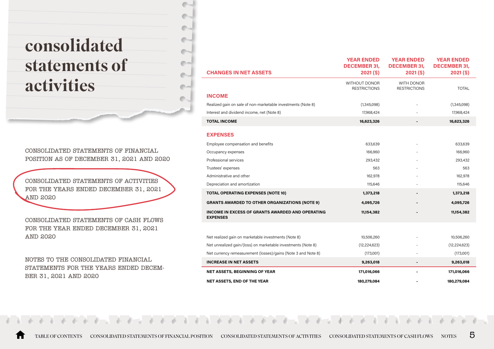# <span id="page-4-0"></span>consolidated statements of activities

CONSOLIDATED STATEMENTS OF FINANCIAL [POSITION AS OF DECEMBER 31, 2021 AND 2020](#page-3-0) a a

CONSOLIDATED STATEMENTS OF ACTIVITIES FOR THE YEARS ENDED DECEMBER 31, 2021 AND 2020

[CONSOLIDATED STATEMENTS OF CASH FLOWS](#page-6-0) FOR THE YEAR ENDED DECEMBER 31, 2021 AND 2020

NOTES TO THE CONSOLIDATED FINANCIAL [STATEMENTS FOR THE YEARS ENDED DECEM-](#page-7-0)BER 31, 2021 AND 2020

| <b>CHANGES IN NET ASSETS</b>                                               | <b>YEAR ENDED</b><br><b>DECEMBER 31.</b><br>$2021($ \$) | <b>YEAR ENDED</b><br><b>DECEMBER 31.</b><br>$2021($ \$) | <b>YEAR ENDED</b><br><b>DECEMBER 31,</b><br>$2021($ \$) |
|----------------------------------------------------------------------------|---------------------------------------------------------|---------------------------------------------------------|---------------------------------------------------------|
|                                                                            | WITHOUT DONOR<br><b>RESTRICTIONS</b>                    | WITH DONOR<br><b>RESTRICTIONS</b>                       | TOTAL                                                   |
| <b>INCOME</b>                                                              |                                                         |                                                         |                                                         |
| Realized gain on sale of non-marketable investments (Note 8)               | (1,345,098)                                             |                                                         | (1,345,098)                                             |
| Interest and dividend income, net (Note 8)                                 | 17,968,424                                              |                                                         | 17,968,424                                              |
| <b>TOTAL INCOME</b>                                                        | 16,623,326                                              |                                                         | 16,623,326                                              |
| <b>EXPENSES</b>                                                            |                                                         |                                                         |                                                         |
| Employee compensation and benefits                                         | 633,639                                                 |                                                         | 633,639                                                 |
| Occupancy expenses                                                         | 166,960                                                 |                                                         | 166,960                                                 |
| Professional services                                                      | 293,432                                                 |                                                         | 293,432                                                 |
| Trustees' expenses                                                         | 563                                                     |                                                         | 563                                                     |
| Administrative and other                                                   | 162,978                                                 |                                                         | 162,978                                                 |
| Depreciation and amortization                                              | 115,646                                                 |                                                         | 115,646                                                 |
| <b>TOTAL OPERATING EXPENSES (NOTE 10)</b>                                  | 1,373,218                                               |                                                         | 1,373,218                                               |
| <b>GRANTS AWARDED TO OTHER ORGANIZATIONS (NOTE 9)</b>                      | 4,095,726                                               |                                                         | 4,095,726                                               |
| <b>INCOME IN EXCESS OF GRANTS AWARDED AND OPERATING</b><br><b>EXPENSES</b> | 11,154,382                                              |                                                         | 11,154,382                                              |
|                                                                            |                                                         |                                                         |                                                         |
| Net realized gain on marketable investments (Note 8)                       | 10,506,260                                              |                                                         | 10,506,260                                              |
| Net unrealized gain/(loss) on marketable investments (Note 8)              | (12, 224, 623)                                          |                                                         | (12, 224, 623)                                          |
| Net currency remeasurement (losses)/gains (Note 3 and Note 8)              | (173,001)                                               |                                                         | (173,001)                                               |
| <b>INCREASE IN NET ASSETS</b>                                              | 9,263,018                                               |                                                         | 9,263,018                                               |
| <b>NET ASSETS, BEGINNING OF YEAR</b>                                       | 171,016,066                                             |                                                         | 171,016,066                                             |
| <b>NET ASSETS, END OF THE YEAR</b>                                         | 180.279.084                                             |                                                         | 180,279,084                                             |

[TABLE OF CONTENTS](#page-2-0) [CONSOLIDATED STATEMENTS OF FINANCIAL POSITION](#page-3-0) CONSOLIDATED STATEMENTS OF ACTIVITIES [CONSOLIDATED STATEMENTS OF CASH FLOWS](#page-6-0) [NOTES](#page-7-0) 5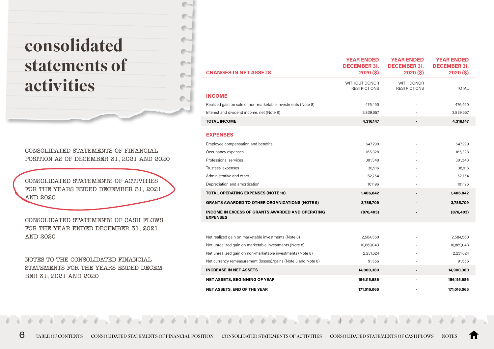# consolidated statements of activities

CONSOLIDATED STATEMENTS OF FINANCIAL [POSITION AS OF DECEMBER 31, 2021 AND 2020](#page-3-0)

CONSOLIDATED STATEMENTS OF ACTIVITIES [FOR THE YEARS ENDED DECEMBER 31, 2021](#page-4-0) AND 2020

[CONSOLIDATED STATEMENTS OF CASH FLOWS](#page-6-0) FOR THE YEAR ENDED DECEMBER 31, 2021 AND 2020

NOTES TO THE CONSOLIDATED FINANCIAL [STATEMENTS FOR THE YEARS ENDED DECEM-](#page-7-0)BER 31, 2021 AND 2020

| <b>CHANGES IN NET ASSETS</b>                                               | <b>YEAR ENDED</b><br><b>DECEMBER 31.</b><br>2020(5) | <b>YEAR ENDED</b><br><b>DECEMBER 31.</b><br>2020(5) | <b>YEAR ENDED</b><br><b>DECEMBER 31.</b><br>2020(5) |
|----------------------------------------------------------------------------|-----------------------------------------------------|-----------------------------------------------------|-----------------------------------------------------|
|                                                                            | <b>WITHOUT DONOR</b><br><b>RESTRICTIONS</b>         | WITH DONOR<br><b>RESTRICTIONS</b>                   | <b>TOTAL</b>                                        |
| <b>INCOME</b>                                                              |                                                     |                                                     |                                                     |
| Realized gain on sale of non-marketable investments (Note 8)               | 476,490                                             |                                                     | 476,490                                             |
| Interest and dividend income, net (Note 8)                                 | 3,839,657                                           |                                                     | 3,839,657                                           |
| <b>TOTAL INCOME</b>                                                        | 4,316,147                                           |                                                     | 4,316,147                                           |
| <b>EXPENSES</b>                                                            |                                                     |                                                     |                                                     |
| Employee compensation and benefits                                         | 647,299                                             |                                                     | 647,299                                             |
| Occupancy expenses                                                         | 165,328                                             |                                                     | 165,328                                             |
| Professional services                                                      | 301,348                                             |                                                     | 301,348                                             |
| Trustees' expenses                                                         | 38,916                                              |                                                     | 38,916                                              |
| Administrative and other                                                   | 152,754                                             |                                                     | 152,754                                             |
| Depreciation and amortization                                              | 101,196                                             |                                                     | 101,196                                             |
| <b>TOTAL OPERATING EXPENSES (NOTE 10)</b>                                  | 1,406,842                                           |                                                     | 1,406,842                                           |
| <b>GRANTS AWARDED TO OTHER ORGANIZATIONS (NOTE 9)</b>                      | 3,785,709                                           |                                                     | 3,785,709                                           |
| <b>INCOME IN EXCESS OF GRANTS AWARDED AND OPERATING</b><br><b>EXPENSES</b> | (876, 403)                                          |                                                     | (876, 403)                                          |
|                                                                            |                                                     |                                                     |                                                     |
| Net realized gain on marketable investments (Note 8)                       | 2,584,560                                           |                                                     | 2,584,560                                           |
| Net unrealized gain on marketable investments (Note 8)                     | 10,869,043                                          |                                                     | 10,869,043                                          |
| Net unrealized gain on non-marketable investments (Note 8)                 | 2,231,624                                           |                                                     | 2,231,624                                           |
| Net currency remeasurement (losses)/gains (Note 3 and Note 8)              | 91,556                                              |                                                     | 91,556                                              |
| <b>INCREASE IN NET ASSETS</b>                                              | 14,900,380                                          | $\blacksquare$                                      | 14,900,380                                          |
| <b>NET ASSETS, BEGINNING OF YEAR</b>                                       | 156,115,686                                         |                                                     | 156,115,686                                         |
| <b>NET ASSETS, END OF THE YEAR</b>                                         | 171,016,066                                         |                                                     | 171,016,066                                         |

m.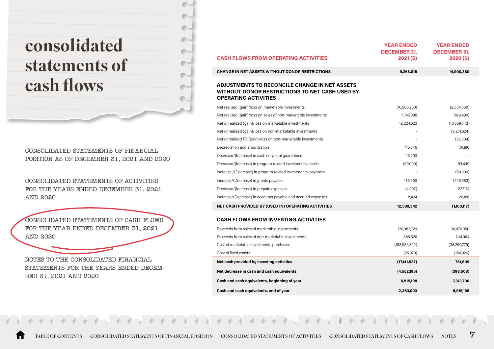# <span id="page-6-0"></span>consolidated statements of cash flows

CONSOLIDATED STATEMENTS OF FINANCIAL [POSITION AS OF DECEMBER 31, 2021 AND 2020](#page-3-0) a a

CONSOLIDATED STATEMENTS OF ACTIVITIES [FOR THE YEARS ENDED DECEMBER 31, 2021](#page-4-0) AND 2020

CONSOLIDATED STATEMENTS OF CASH FLOWS FOR THE YEAR ENDED DECEMBER 31, 2021 AND 2020

NOTES TO THE CONSOLIDATED FINANCIAL [STATEMENTS FOR THE YEARS ENDED DECEM-](#page-7-0)BER 31, 2021 AND 2020

| <b>CASH FLOWS FROM OPERATING ACTIVITIES</b>                                                                                                  | <b>YEAR ENDED</b><br><b>DECEMBER 31.</b><br>$2021($ \$) | <b>YEAR ENDED</b><br><b>DECEMBER 31.</b><br>$2020($ \$) |
|----------------------------------------------------------------------------------------------------------------------------------------------|---------------------------------------------------------|---------------------------------------------------------|
| <b>CHANGE IN NET ASSETS WITHOUT DONOR RESTRICTIONS</b>                                                                                       | 9,263,018                                               | 14,900,380                                              |
| <b>ADJUSTMENTS TO RECONCILE CHANGE IN NET ASSETS</b><br><b>WITHOUT DONOR RESTRICTIONS TO NET CASH USED BY</b><br><b>OPERATING ACTIVITIES</b> |                                                         |                                                         |
| Net realized (gain)/loss on marketable investments                                                                                           | (10, 506, 260)                                          | (2,584,560)                                             |
| Net realized (gain)/loss on sales of non-marketable investments                                                                              | 1,345,098                                               | (476, 490)                                              |
| Net unrealized (gain)/loss on marketable investments                                                                                         | 12,224,623                                              | (10,869,043)                                            |
| Net unrealized (gain)/loss on non-marketable investments                                                                                     |                                                         | (2,231,624)                                             |
| Net unrealized FX (gain)/loss on non-marketable investments                                                                                  |                                                         | (52,804)                                                |
| Depreciation and amortization                                                                                                                | 115,646                                                 | 101,196                                                 |
| Decrease/(Increase) in cash collateral guarantees                                                                                            | 16,500                                                  |                                                         |
| Decrease/(Increase) in program related investments, assets                                                                                   | (60,000)                                                | 93,449                                                  |
| Increase /(Decrease) in program related investments, payables                                                                                |                                                         | (50,000)                                                |
| Increase/(Decrease) in grants payable                                                                                                        | 186,500                                                 | (243,983)                                               |
| Decrease/(Increase) in prepaid expenses                                                                                                      | (4,207)                                                 | 227,174                                                 |
| Increase/(Decrease) in accounts payable and accrued expenses                                                                                 | 8,424                                                   | 26,188                                                  |
| NET CASH PROVIDED BY (USED IN) OPERATING ACTIVITIES                                                                                          | 12,589,342                                              | (1,160,117)                                             |
| <b>CASH FLOWS FROM INVESTING ACTIVITIES</b>                                                                                                  |                                                         |                                                         |
| Proceeds from sales of marketable investments                                                                                                | 170,983,729                                             | 38,070,350                                              |
| Proceeds from sales of non-marketable investments                                                                                            | 886,526                                                 | 1,141,064                                               |
| Cost of marketable investments purchased                                                                                                     | (188, 985, 822)                                         | (38, 299, 779)                                          |
| Cost of fixed assets                                                                                                                         | (25,970)                                                | (150,026)                                               |
| Net cash provided by investing activities                                                                                                    | (17, 141, 537)                                          | 761,609                                                 |
| Net decrease in cash and cash equivalents                                                                                                    | (4,552,195)                                             | (398, 508)                                              |
| Cash and cash equivalents, beginning of year                                                                                                 | 6,915,198                                               | 7,313,706                                               |
| Cash and cash equivalents, end of year                                                                                                       | 2,363,003                                               | 6.915.198                                               |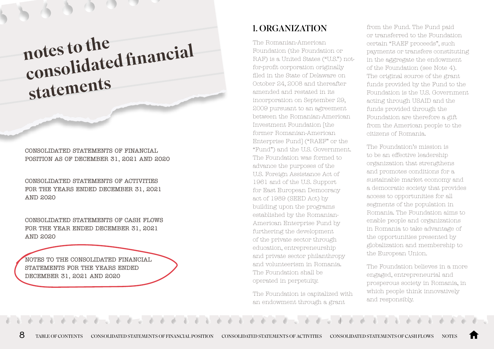<span id="page-7-0"></span>notes to the consolidated financial statements

CONSOLIDATED STATEMENTS OF FINANCIAL [POSITION AS OF DECEMBER 31, 2021 AND 2020](#page-3-0)

CONSOLIDATED STATEMENTS OF ACTIVITIES [FOR THE YEARS ENDED DECEMBER 31, 2021](#page-4-0) AND 2020

[CONSOLIDATED STATEMENTS OF CASH FLOWS](#page-6-0) FOR THE YEAR ENDED DECEMBER 31, 2021 AND 2020

NOTES TO THE CONSOLIDATED FINANCIAL STATEMENTS FOR THE YEARS ENDED DECEMBER 31, 2021 AND 2020

# 1. ORGANIZATION

The Romanian-American Foundation (the Foundation or RAF) is a United States ("U.S.") notfor-profit corporation originally filed in the State of Delaware on October 24, 2008 and thereafter amended and restated in its incorporation on September 29, 2009 pursuant to an agreement between the Romanian-American Investment Foundation [the former Romanian-American Enterprise Fund] ("RAEF" or the "Fund") and the U.S. Government. The Foundation was formed to advance the purposes of the U.S. Foreign Assistance Act of 1961 and of the U.S. Support for East European Democracy act of 1989 (SEED Act) by building upon the programs established by the Romanian-American Enterprise Fund by furthering the development of the private sector through education, entrepreneurship and private sector philanthropy and volunteerism in Romania. The Foundation shall be operated in perpetuity.

The Foundation is capitalized with an endowment through a grant

from the Fund. The Fund paid or transferred to the Foundation certain "RAEF proceeds", such payments or transfers constituting in the aggregate the endowment of the Foundation (see Note 4). The original source of the grant funds provided by the Fund to the Foundation is the U.S. Government acting through USAID and the funds provided through the Foundation are therefore a gift from the American people to the citizens of Romania.

The Foundation's mission is to be an effective leadership organization that strengthens and promotes conditions for a sustainable market economy and a democratic society that provides access to opportunities for all segments of the population in Romania. The Foundation aims to enable people and organizations in Romania to take advantage of the opportunities presented by globalization and membership to the European Union.

The Foundation believes in a more engaged, entrepreneurial and prosperous society in Romania, in which people think innovatively and responsibly.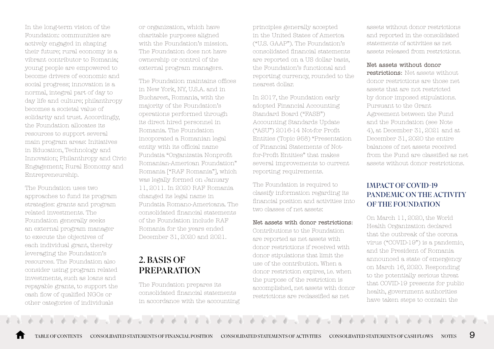In the long-term vision of the Foundation: communities are actively engaged in shaping their future; rural economy is a vibrant contributor to Romania; young people are empowered to become drivers of economic and social progress; innovation is a normal, integral part of day to day life and culture; philanthropy becomes a societal value of solidarity and trust. Accordingly, the Foundation allocates its resources to support several main program areas: Initiatives in Education, Technology and Innovation; Philanthropy and Civic Engagement; Rural Economy and Entrepreneurship.

The Foundation uses two approaches to fund its program strategies: grants and program related investments. The Foundation generally seeks an external program manager to execute the objectives of each individual grant, thereby leveraging the Foundation's resources. The Foundation also consider using program related investments, such as loans and repayable grants, to support the cash flow of qualified NGOs or other categories of individuals

or organization, which have charitable purposes aligned with the Foundation's mission. The Foundation does not have ownership or control of the external program managers.

The Foundation maintains offices in New York, NY, U.S.A. and in Bucharest, Romania, with the majority of the Foundation's operations performed through its direct hired personnel in Romania. The Foundation incoporated a Romanian legal entity with its official name Fundatia "Organizatia Nonprofit Romanian-American Foundation" Romania ["RAF Romania"], which was legally formed on January 11, 2011. In 2020 RAF Romania changed its legal name in Fundatia Romano-Americana. The consolidated financial statements of the Foundation include RAF Romania for the years ended December 31, 2020 and 2021.

## 2. BASIS OF PREPARATION

The Foundation prepares its consolidated financial statements in accordance with the accounting

principles generally accepted in the United States of America ("U.S. GAAP"). The Foundation's consolidated financial statements are reported on a US dollar basis, the Foundation's functional and reporting currency, rounded to the nearest dollar.

In 2017, the Foundation early adopted Financial Accounting Standard Board ("FASB") Accounting Standards Update ("ASU") 2016-14 Not-for Profit Entities (Topic 958) "Presentation of Financial Statements of Notfor-Profit Entities" that makes several improvements to current reporting requirements.

The Foundation is required to classify information regarding its financial position and activities into two classes of net assets:

#### Net assets with donor restrictions:

Contributions to the Foundation are reported as net assets with donor restrictions if received with donor stipulations that limit the use of the contribution. When a donor restriction expires, i.e. when the purpose of the restriction is accomplished, net assets with donor restrictions are reclassified as net

assets without donor restrictions and reported in the consolidated statements of activities as net assets released from restrictions.

#### Net assets without donor

restrictions: Net assets without donor restrictions are those net assets that are not restricted by donor imposed stipulations. Pursuant to the Grant Agreement between the Fund and the Foundation (see Note 4), at December 31, 2021 and at December 31, 2020 the entire balances of net assets received from the Fund are classified as net assets without donor restrictions.

### IMPACT OF COVID-19 PANDEMIC ON THE ACTIVITY OF THE FOUNDATION

On March 11, 2020, the World Health Organization declared that the outbreak of the corona virus ("COVID-19") is a pandemic, and the President of Romania announced a state of emergency on March 16, 2020. Responding to the potentially serious threat that COVID-19 presents for public health, government authorities have taken steps to contain the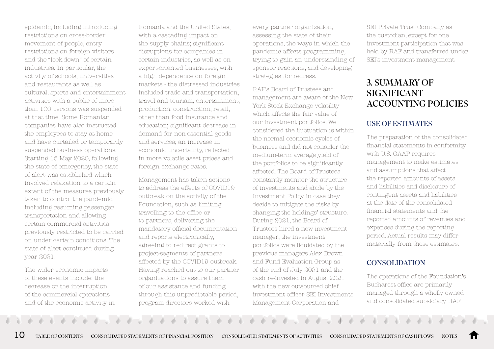epidemic, including introducing restrictions on cross-border movement of people, entry restrictions on foreign visitors and the "lock-down" of certain industries. In particular, the activity of schools, universities and restaurants as well as cultural, sports and entertainment activities with a public of more than 100 persons was suspended at that time. Some Romanian companies have also instructed the employees to stay at home and have curtailed or temporarily suspended business operations. Starting 15 May 2020, following the state of emergency, the state of alert was established which involved relaxation to a certain extent of the measures previously taken to control the pandemic, including resuming passenger transportation and allowing certain commercial activities previously restricted to be carried on under certain conditions. The state of alert continued during year 2021.

The wider economic impacts of these events include: the decrease or the interruption of the commercial operations and of the economic activity in

Romania and the United States, with a cascading impact on the supply chains; significant disruptions for companies in certain industries, as well as on export-oriented businesses, with a high dependence on foreign markets - the distressed industries included trade and transportation, travel and tourism, entertainment, production, construction, retail, other than food insurance and education; significant decrease in demand for non-essential goods and services; an increase in economic uncertainty, reflected in more volatile asset prices and foreign exchange rates.

Management has taken actions to address the effects of COVID19 outbreak on the activity of the Foundation, such as limiting travelling to the office or to partners, delivering the mandatory official documentation and reports electronically, agreeing to redirect grants to project-segments of partners affected by the COVID19 outbreak. Having reached out to our partner organizations to assure them of our assistance and funding through this unpredictable period, program directors worked with

every partner organization, assessing the state of their operations, the ways in which the pandemic affects programming, trying to gain an understanding of sponsor reactions, and developing strategies for redress.

RAF's Board of Trustees and management are aware of the New York Stock Exchange volatility which affects the fair value of our investment portfolios. We considered the fluctuation is within the normal economic cycles of business and did not consider the medium-term average yield of the portfolios to be significantly affected. The Board of Trustees constantly monitor the structure of investments and abide by the Investment Policy in case they decide to mitigate the risks by changing the holdings' structure. During 2021, the Board of Trustees hired a new investment manager; the investment portfolios were liquidated by the previous managers Alex Brown and Fund Evaluation Group as of the end of July 2021 and the cash re-invested in August 2021 with the new outsourced chief investment officer SEI Investments Management Corporation and

SEI Private Trust Company as the custodian, except for one investment participation that was held by RAF and transferred under SEI's investment management.

## 3. SUMMARY OF SIGNIFICANT ACCOUNTING POLICIES

#### USE OF ESTIMATES

The preparation of the consolidated financial statements in conformity with U.S. GAAP requires management to make estimates and assumptions that affect the reported amounts of assets and liabilities and disclosure of contingent assets and liabilities at the date of the consolidated financial statements and the reported amounts of revenues and expenses during the reporting period. Actual results may differ materially from those estimates.

### **CONSOLIDATION**

The operations of the Foundation's Bucharest office are primarily managed through a wholly owned and consolidated subsidiary RAF

 $10\,$  table of contents consolidated statements of financial position consolidated statements of activities consolidated statements of cash flows notes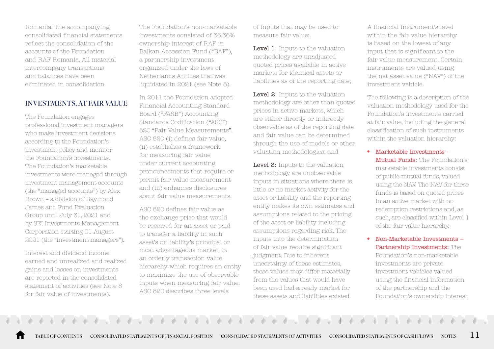Romania. The accompanying consolidated financial statements reflect the consolidation of the accounts of the Foundation and RAF Romania. All material intercompany transactions and balances have been eliminated in consolidation.

#### INVESTMENTS, AT FAIR VALUE

The Foundation engages professional investment managers who make investment decisions according to the Foundation's investment policy and monitor the Foundation's investments. The Foundation's marketable investments were managed through investment management accounts (the "managed accounts") by Alex Brown – a division of Raymond James and Fund Evaluation Group until July 31, 2021 and by SEI Investments Management Corporation starting 01 August 2021 (the "investment managers").

Interest and dividend income earned and unrealized and realized gains and losses on investments are reported in the consolidated statement of activities (see Note 8 for fair value of investments).

The Foundation's non-marketable investments consisted of 36.36% ownership interest of RAF in Balkan Accession Fund ("BAF"), a partnership investment organized under the laws of Netherlands Antilles that was liquidated in 2021 (see Note 8).

In 2011 the Foundation adopted Financial Accounting Standard Board ("FASB") Accounting Standards Codification ("ASC") 820 "Fair Value Measurements". ASC 820 (i) defines fair value, (ii) establishes a framework for measuring fair value under current accounting pronouncements that require or permit fair value measurement and (iii) enhances disclosures about fair value measurements.

ASC 820 defines fair value as the exchange price that would be received for an asset or paid to transfer a liability in such asset's or liability's principal or most advantageous market, in an orderly transaction value hierarchy which requires an entity to maximize the use of observable inputs when measuring fair value. ASC 820 describes three levels

of inputs that may be used to measure fair value:

Level 1: Inputs to the valuation methodology are unadjusted quoted prices available in active markets for identical assets or liabilities as of the reporting date;

Level 2: Inputs to the valuation methodology are other than quoted prices in active markets, which are either directly or indirectly observable as of the reporting date and fair value can be determined through the use of models or other valuation methodologies; and

Level 3: Inputs to the valuation methodology are unobservable inputs in situations where there is little or no market activity for the asset or liability and the reporting entity makes its own estimates and assumptions related to the pricing of the asset or liability including assumptions regarding risk. The inputs into the determination of fair value require significant judgment. Due to inherent uncertainty of these estimates, these values may differ materially from the values that would have been used had a ready market for these assets and liabilities existed.

A financial instrument's level within the fair value hierarchy is based on the lowest of any input that is significant to the fair value measurement. Certain instruments are valued using the net asset value ("NAV") of the investment vehicle.

The following is a description of the valuation methodology used for the Foundation's investments carried at fair value, including the general classification of such instruments within the valuation hierarchy:

- Marketable Investments Mutual Funds: The Foundation's marketable investments consist of public mutual funds, valued using the NAV. The NAV for these funds is based on quoted prices in an active market with no redemption restrictions and, as such, are classified within Level 1 of the fair value hierarchy.
- Non-Marketable Investments Partnership Investments: The Foundation's non-marketable investments are private investment vehicles valued using the financial information of the partnership and the Foundation's ownership interest.

[TABLE OF CONTENTS](#page-2-0) [CONSOLIDATED STATEMENTS OF FINANCIAL POSITION](#page-3-0) [CONSOLIDATED STATEMENTS OF ACTIVITIES](#page-4-0) [CONSOLIDATED STATEMENTS OF CASH FLOWS](#page-6-0) [NOTES](#page-7-0) 11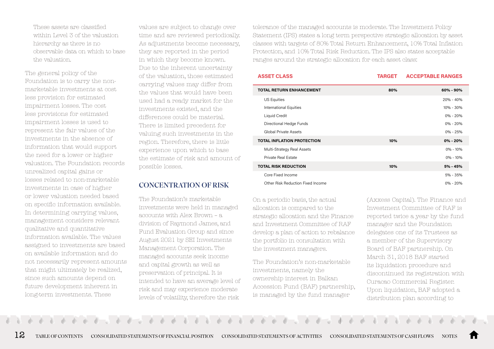These assets are classified within Level 3 of the valuation hierarchy as there is no observable data on which to base the valuation.

The general policy of the Foundation is to carry the nonmarketable investments at cost less provision for estimated impairment losses. The cost less provisions for estimated impairment losses is used to represent the fair values of the investments in the absence of information that would support the need for a lower or higher valuation. The Foundation records unrealized capital gains or losses related to non-marketable investments in case of higher or lower valuation needed based on specific information available. In determining carrying values, management considers relevant qualitative and quantitative information available. The values assigned to investments are based on available information and do not necessarily represent amounts that might ultimately be realized, since such amounts depend on future development inherent in long-term investments. These

values are subject to change over time and are reviewed periodically. As adjustments become necessary, they are reported in the period in which they become known. Due to the inherent uncertainty of the valuation, those estimated carrying values may differ from the values that would have been used had a ready market for the investments existed, and the differences could be material. There is limited precedent for valuing such investments in the region. Therefore, there is little experience upon which to base the estimate of risk and amount of possible losses.

Ī

#### CONCENTRATION OF RISK

The Foundation's marketable investments were held in managed accounts with Alex Brown – a division of Raymond James, and Fund Evaluation Group and since August 2021 by SEI Investments Management Corporation. The managed accounts seek income and capital growth as well as preservation of principal. It is intended to have an average level of risk and may experience moderate levels of volatility, therefore the risk

tolerance of the managed accounts is moderate. The Investment Policy Statement (IPS) states a long term perspective strategic allocation by asset classes with targets of 80% Total Return Enhancement, 10% Total Inflation Protection, and 10% Total Risk Reduction. The IPS also states acceptable ranges around the strategic allocation for each asset class:

| <b>ASSET CLASS</b>                | <b>TARGET</b> | <b>ACCEPTABLE RANGES</b> |
|-----------------------------------|---------------|--------------------------|
| <b>TOTAL RETURN ENHANCEMENT</b>   | 80%           | 60% - 90%                |
| US Equities                       |               | 20% - 40%                |
| <b>International Equities</b>     |               | 10% - 30%                |
| Liquid Credit                     |               | $0\% - 20\%$             |
| Directional Hedge Funds           |               | $0\% - 20\%$             |
| Global Private Assets             |               | $0\% - 25\%$             |
| <b>TOTAL INFLATION PROTECTION</b> | 10%           | $0\% - 20\%$             |
| Multi-Strategy Real Assets        |               | $0\% - 10\%$             |
| <b>Private Real Estate</b>        |               | $0\% - 10\%$             |
| <b>TOTAL RISK REDUCTION</b>       | 10%           | 5% - 45%                 |
| Core Fixed Income                 |               | 5% - 35%                 |
| Other Risk Reduction Fixed Income |               | $0\% - 20\%$             |
|                                   |               |                          |

On a periodic basis, the actual allocation is compared to the strategic allocation and the Finance and Investment Committee of RAF develop a plan of action to rebalance the portfolio in consultation with the investment managers.

The Foundation's non-marketable investments, namely the ownership interest in Balkan Accession Fund (BAF) partnership, is managed by the fund manager

(Axxess Capital). The Finance and Investment Committee of RAF is reported twice a year by the fund manager and the Foundation delegates one of its Trustees as a member of the Supervisory Board of BAF partnership. On March 31, 2018 BAF started its liquidation procedure and discontinued its registration with Curacao Commercial Register. Upon liquidation, BAF adopted a distribution plan according to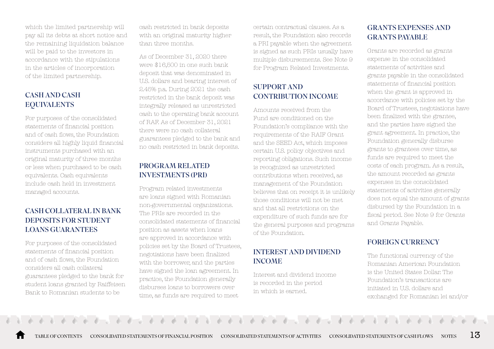which the limited partnership will pay all its debts at short notice and the remaining liquidation balance will be paid to the investors in accordance with the stipulations in the articles of incorporation of the limited partnership.

### CASH AND CASH EQUIVALENTS

For purposes of the consolidated statements of financial position and of cash flows, the Foundation considers all highly liquid financial instruments purchased with an original maturity of three months or less when purchased to be cash equivalents. Cash equivalents include cash held in investment managed accounts.

### CASH COLLATERAL IN BANK DEPOSITS FOR STUDENT LOANS GUARANTEES

For purposes of the consolidated statements of financial position and of cash flows, the Foundation considers all cash collateral guarantees pledged to the bank for student loans granted by Raiffeisen Bank to Romanian students to be

cash restricted in bank deposits with an original maturity higher than three months.

As of December 31, 2020 there were \$16,500 in one such bank deposit that was denominated in U.S. dollars and bearing interest of 2.45% p.a. During 2021 the cash restricted in the bank deposit was integrally released as unrestricted cash to the operating bank account of RAF. As of December 31, 2021 there were no cash collateral guarantees pledged to the bank and no cash restricted in bank deposits.

#### PROGRAM RELATED INVESTMENTS (PRI)

Program related investments are loans signed with Romanian non-governmental organizations. The PRIs are recorded in the consolidated statements of financial position as assets when loans are approved in accordance with policies set by the Board of Trustees, negotiations have been finalized with the borrower, and the parties have signed the loan agreement. In practice, the Foundation generally disburses loans to borrowers over time, as funds are required to meet

certain contractual clauses. As a result, the Foundation also records a PRI payable when the agreement is signed as such PRIs usually have multiple disbursements. See Note 9 for Program Related Investments.

## SUPPORT AND CONTRIBUTION INCOME

Amounts received from the Fund are conditioned on the Foundation's compliance with the requirements of the RAIF Grant and the SEED Act, which imposes certain U.S. policy objectives and reporting obligations. Such income is recognized as unrestricted contributions when received, as management of the Foundation believes that on receipt it is unlikely those conditions will not be met and that all restrictions on the expenditure of such funds are for the general purposes and programs of the Foundation.

#### INTEREST AND DIVIDEND INCOME

Interest and dividend income is recorded in the period in which is earned.

### GRANTS EXPENSES AND GRANTS PAYABLE

Grants are recorded as grants expense in the consolidated statements of activities and grants payable in the consolidated statements of financial position when the grant is approved in accordance with policies set by the Board of Trustees, negotiations have been finalized with the grantee, and the parties have signed the grant agreement. In practice, the Foundation generally disburse grants to grantees over time, as funds are required to meet the costs of each program. As a result, the amount recorded as grants expenses in the consolidated statements of activities generally does not equal the amount of grants disbursed by the Foundation in a fiscal period. See Note 9 for Grants and Grants Payable.

### FOREIGN CURRENCY

The functional currency of the Romanian American Foundation is the United States Dollar. The Foundation's transactions are initiated in U.S. dollars and exchanged for Romanian lei and/or

[TABLE OF CONTENTS](#page-2-0) [CONSOLIDATED STATEMENTS OF FINANCIAL POSITION](#page-3-0) [CONSOLIDATED STATEMENTS OF ACTIVITIES](#page-4-0) [CONSOLIDATED STATEMENTS OF CASH FLOWS](#page-6-0) [NOTES](#page-7-0)  $13$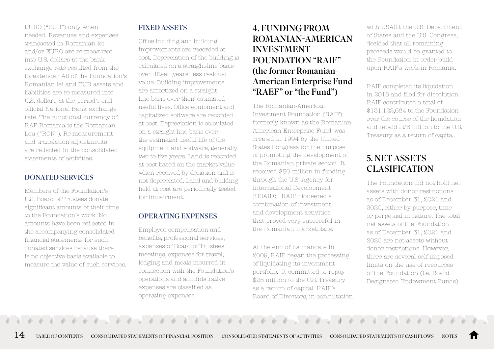EURO ("EUR") only when needed. Revenues and expenses transacted in Romanian lei and/or EURO are re-measured into U.S. dollars at the bank exchange rate resulted from the forextender. All of the Foundation's Romanian lei and EUR assets and liabilities are re-measured into U.S. dollars at the period's end official National Bank exchange rate. The functional currency of RAF Romania is the Romanian Leu ("RON"). Re-measurement and translation adjustments are reflected in the consolidated statements of activities.

#### DONATED SERVICES

Members of the Foundation's U.S. Board of Trustees donate significant amounts of their time to the Foundation's work. No amounts have been reflected in the accompanying consolidated financial statements for such donated services because there is no objective basis available to measure the value of such services.

## FIXED ASSETS

Office building and building improvements are recorded at cost. Depreciation of the building is calculated on a straight-line basis over fifteen years, less residual value. Building improvements are amortized on a straightline basis over their estimated useful lives. Office equipment and capitalized software are recorded at cost. Depreciation is calculated on a straight-line basis over the estimated useful life of the equipment and software, generally two to five years. Land is recorded at cost based on the market value when received by donation and is not depreciated. Land and building held at cost are periodically tested for impairment.

#### OPERATING EXPENSES

Employee compensation and benefits, professional services, expenses of Board of Trustees meetings, expenses for travel, lodging and meals incurred in connection with the Foundation's operations and administrative expenses are classified as operating expenses.

# 4. FUNDING FROM ROMANIAN-AMERICAN INVESTMENT FOUNDATION "RAIF" (the former Romanian-American Enterprise Fund "RAEF" or "the Fund")

The Romanian-American Investment Foundation (RAIF), formerly known as the Romanian-American Enterprise Fund, was created in 1994 by the United States Congress for the purpose of promoting the development of the Romanian private sector. It received \$50 million in funding through the U.S. Agency for International Development (USAID). RAIF pioneered a combination of investment and development activities that proved very successful in the Romanian marketplace.

At the end of its mandate in 2009, RAIF began the processing of liquidating its investment portfolio. It committed to repay \$25 million to the U.S. Treasury as a return of capital. RAIF's Board of Directors, in consultation with USAID, the U.S. Department of States and the U.S. Congress, decided that all remaining proceeds would be granted to the Foundation in order build upon RAIF's work in Romania.

RAIF completed its liquidation in 2018 and filed for dissolution. RAIF contributed a total of \$131,122,684 to the Foundation over the course of the liquidation and repaid \$25 million to the U.S. Treasury as a return of capital.

# 5. NET ASSETS CLASIFICATION

The Foundation did not hold net assets with donor restrictions as of December 31, 2021 and 2020, either by purpose, time or perpetual in nature. The total net assets of the Foundation as of December 31, 2021 and 2020 are net assets without donor restrictions. However, there are several self-imposed limits on the use of resources of the Foundation (I.e. Board Designated Endowment Funds).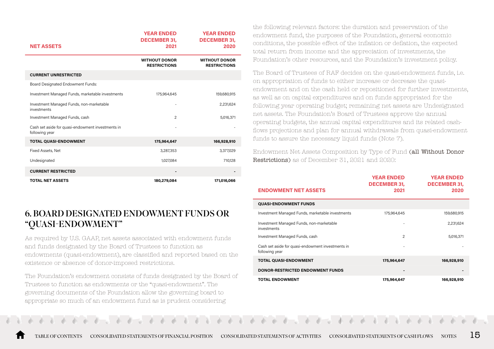| <b>NET ASSETS</b>                                                   | <b>YEAR ENDED</b><br><b>DECEMBER 31,</b><br>2021 | <b>YEAR ENDED</b><br><b>DECEMBER 31,</b><br>2020 |
|---------------------------------------------------------------------|--------------------------------------------------|--------------------------------------------------|
|                                                                     | <b>WITHOUT DONOR</b><br><b>RESTRICTIONS</b>      | <b>WITHOUT DONOR</b><br><b>RESTRICTIONS</b>      |
| <b>CURRENT UNRESTRICTED</b>                                         |                                                  |                                                  |
| Board Designated Endowment Funds:                                   |                                                  |                                                  |
| Investment Managed Funds, marketable investments                    | 175,964,645                                      | 159,680,915                                      |
| Investment Managed Funds, non-marketable<br>investments             |                                                  | 2,231,624                                        |
| Investment Managed Funds, cash                                      | $\overline{c}$                                   | 5,016,371                                        |
| Cash set aside for quasi-endowment investments in<br>following year |                                                  |                                                  |
| <b>TOTAL QUASI-ENDOWMENT</b>                                        | 175,964,647                                      | 166,928,910                                      |
| Fixed Assets, Net                                                   | 3,287,353                                        | 3,377,029                                        |
| Undesignated                                                        | 1,027,084                                        | 710,128                                          |
| <b>CURRENT RESTRICTED</b>                                           |                                                  |                                                  |
| <b>TOTAL NET ASSETS</b>                                             | 180,279,084                                      | 171,016,066                                      |

# 6. BOARD DESIGNATED ENDOWMENT FUNDS OR "QUASI-ENDOWMENT"

As required by U.S. GAAP, net assets associated with endowment funds and funds designated by the Board of Trustees to function as endowments (quasi-endowment), are classified and reported based on the existence or absence of donor-imposed restrictions.

The Foundation's endowment consists of funds designated by the Board of Trustees to function as endowments or the "quasi-endowment". The governing documents of the Foundation allow the governing board to appropriate so much of an endowment fund as is prudent considering

the following relevant factors: the duration and preservation of the endowment fund, the purposes of the Foundation, general economic conditions, the possible effect of the inflation or deflation, the expected total return from income and the appreciation of investments, the Foundation's other resources, and the Foundation's investment policy.

The Board of Trustees of RAF decides on the quasi-endowment funds, i.e. on appropriation of funds to either increase or decrease the quasiendowment and on the cash held or repositioned for further investments, as well as on capital expenditures and on funds appropriated for the following year operating budget; remaining net assets are Undesignated net assets. The Foundation's Board of Trustees approve the annual operating budgets, the annual capital expenditures and its related cashflows projections and plan for annual withdrawals from quasi-endowment funds to assure the necessary liquid funds (Note 7).

Endowment Net Assets Composition by Type of Fund (all Without Donor Restrictions) as of December 31, 2021 and 2020:

| <b>ENDOWMENT NET ASSETS</b>                                         | <b>YEAR ENDED</b><br><b>DECEMBER 31,</b><br>2021 | <b>YEAR ENDED</b><br><b>DECEMBER 31,</b><br>2020 |
|---------------------------------------------------------------------|--------------------------------------------------|--------------------------------------------------|
| <b>QUASI-ENDOWMENT FUNDS</b>                                        |                                                  |                                                  |
| Investment Managed Funds, marketable investments                    | 175,964,645                                      | 159,680,915                                      |
| Investment Managed Funds, non-marketable<br>investments             |                                                  | 2,231,624                                        |
| Investment Managed Funds, cash                                      | $\overline{c}$                                   | 5,016,371                                        |
| Cash set aside for quasi-endowment investments in<br>following year |                                                  |                                                  |
| <b>TOTAL QUASI-ENDOWMENT</b>                                        | 175,964,647                                      | 166,928,910                                      |
| <b>DONOR-RESTRICTED ENDOWMENT FUNDS</b>                             |                                                  |                                                  |
| <b>TOTAL ENDOWMENT</b>                                              | 175,964,647                                      | 166,928,910                                      |

[TABLE OF CONTENTS](#page-2-0) [CONSOLIDATED STATEMENTS OF FINANCIAL POSITION](#page-3-0) [CONSOLIDATED STATEMENTS OF ACTIVITIES](#page-4-0) [CONSOLIDATED STATEMENTS OF CASH FLOWS](#page-6-0) [NOTES](#page-7-0)  $\,15\,$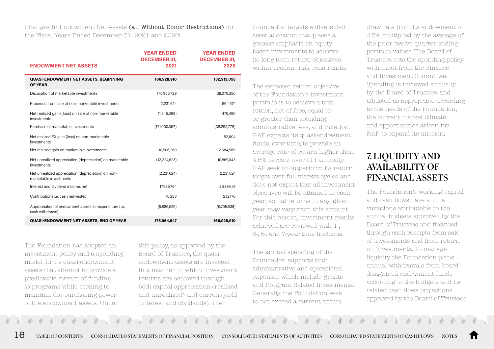Changes in Endowment Net Assets (all Without Donor Restrictions) for the Fiscal Years Ended December 31, 2021 and 2020:

|                                                                              | <b>YEAR ENDED</b><br><b>DECEMBER 31.</b> | <b>YEAR ENDED</b><br><b>DECEMBER 31,</b> |
|------------------------------------------------------------------------------|------------------------------------------|------------------------------------------|
| <b>ENDOWMENT NET ASSETS</b>                                                  | 2021                                     | 2020                                     |
| <b>QUASI-ENDOWMENT NET ASSETS, BEGINNING</b><br><b>OF YEAR</b>               | 166,928,910                              | 152,913,055                              |
| Disposition of marketable investments                                        | 170,983,729                              | 38,070,350                               |
| Proceeds from sale of non-marketable investments                             | 2,231,624                                | 664,574                                  |
| Net realized gain/(loss) on sale of non-marketable<br>investments            | (1,345,098)                              | 476,490                                  |
| Purchase of marketable investments                                           | (171,000,057)                            | (38, 299, 779)                           |
| Net realized FX gain (loss) on non-marketable<br>investments                 |                                          | 52,804                                   |
| Net realized gain on marketable investments                                  | 10,506,260                               | 2,584,560                                |
| Net unrealized appreciation (depreciation) on marketable<br>investments      | (12, 224, 623)                           | 10,869,043                               |
| Net unrealized appreciation (depreciation) on non-<br>marketable investments | (2,231,624)                              | 2,231,624                                |
| Interest and dividend income, net                                            | 17,985,764                               | 3,839,657                                |
| Contributions i.e. cash reinvested                                           | 16,288                                   | 232,170                                  |
| Appropriation of endowment assets for expenditure (i.e.<br>cash withdrawn)   | (5,886,526)                              | (6,705,638)                              |
| <b>QUASI-ENDOWMENT NET ASSETS, END OF YEAR</b>                               | 175,964,647                              | 166,928,910                              |

The Foundation has adopted an investment policy and a spending model for its quasi-endowment assets that attempt to provide a predictable stream of funding to programs while seeking to maintain the purchasing power of the endowment assets. Under

this policy, as approved by the Board of Trustees, the quasiendowment assets are invested in a manner in which investment returns are achieved through both capital appreciation (realized and unrealized) and current yield (interest and dividends). The

Foundation targets a diversified asset allocation that places a greater emphasis on equitybased investments to achieve its long-term return objectives within prudent risk constraints.

The expected return objective of the Foundation's investment portfolio is to achieve a total return, net of fees, equal to or greater than spending, administrative fees, and inflation. RAF expects its quasi-endowment funds, over time, to provide an average rate of return higher than 4.5% percent over CPI annually. RAF seek to outperform its return target over full market cycles and does not expect that all investment objectives will be attained in each year; actual returns in any given year may vary from this amount. For this reason, investment results achieved are reviewed with 1-, 3-, 5-, and 7-year time horizons.

The annual spending of the Foundation supports both administrative and operational expenses which include grants and Program Related Investments. Generally, the Foundation seek to not exceed a current annual

draw rate from its endowment of 4.5% multiplied by the average of the prior twelve quarter-ending portfolio values. The Board of Trustees sets the spending policy with input from the Finance and Investment Committee. Spending is reviewed annually by the Board of Trustees and adjusted as appropriate according to the needs of the Foundation, the current market climate and opportunities arisen for RAF to expand its mission.

## 7. LIQUIDITY AND AVAILABILITY OF FINANCIAL ASSETS

The Foundation's working capital and cash flows have annual variations attributable to the annual budgets approved by the Board of Trustees and financed through cash receipts from sale of investments and from return on investments. To manage liquidity the Foundation plans annual withdrawals from boarddesignated endowment funds according to the budgets and its related cash flows projections approved by the Board of Trustees.

 $16\,$  table of contents consolidated statements of financial position consolidated statements of activities consolidated statements of cash flows notes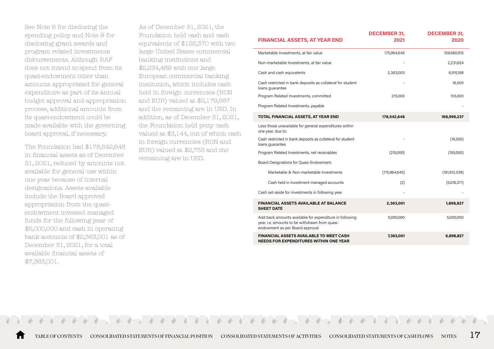See Note 6 for disclosing the spending policy and Note 9 for disclosing grant awards and program related investments disbursements. Although RAF does not intend to spend from its quasi-endowment other than amounts appropriated for general expenditure as part of its annual budget approval and appropriation process, additional amounts from its quasi-endowment could be made available with the governing board approval, if necessary.

The Foundation had \$178,542,648 in financial assets as of December 31, 2021, reduced by amounts not available for general use within one year because of internal designations. Assets available include the Board approved appropriation from the quasiendowment invested managed funds for the following year of \$5,000,000 and cash in operating bank accounts of \$2,363,001 as of December 31, 2021, for a total available financial assets of \$7,363,001.

As of December 31, 2021, the Foundation held cash and cash equivalents of \$125,370 with two large United States commercial banking institutions and \$2,234,489 with one large European commercial banking institution, which includes cash held in foreign currencies (RON and EUR) valued at \$2,179,587 and the remaining are in USD. In addition, as of December 31, 2021, the Foundation held petty cash valued at \$3,144, out of which cash in foreign currencies (RON and EUR) valued at \$2,733 and the remaining are in USD.

| <b>FINANCIAL ASSETS, AT YEAR END</b>                                                                                                         | <b>DECEMBER 31.</b><br>2021 | <b>DECEMBER 31.</b><br>2020 |
|----------------------------------------------------------------------------------------------------------------------------------------------|-----------------------------|-----------------------------|
| Marketable Investments, at fair value                                                                                                        | 175,964,645                 | 159,680,915                 |
| Non-marketable Investments, at fair value                                                                                                    |                             | 2,231,624                   |
| Cash and cash equivalents                                                                                                                    | 2,363,003                   | 6,915,198                   |
| Cash restricted in bank deposits as collateral for student<br>loans quarantee                                                                |                             | 16,500                      |
| Program Related Investments, committed                                                                                                       | 215,000                     | 155,000                     |
| Program Related Investments, payable                                                                                                         |                             |                             |
| TOTAL FINANCIAL ASSETS, AT YEAR END                                                                                                          | 178,542,648                 | 168,999,237                 |
| Less those unavailable for general expenditures within<br>one year, due to:                                                                  |                             |                             |
| Cash restricted in bank deposits as collateral for student<br>loans quarantee                                                                |                             | (16,500)                    |
| Program Related Investments, net receivables                                                                                                 | (215,000)                   | (155,000)                   |
| Board Designations for Quasi-Endowment:                                                                                                      |                             |                             |
| Marketable & Non-marketable Investments                                                                                                      | (175,964,645)               | (161, 912, 539)             |
| Cash held in investment managed accounts                                                                                                     | (2)                         | (5,016,371)                 |
| Cash set-aside for investments in following year                                                                                             |                             |                             |
| <b>FINANCIAL ASSETS AVAILABLE AT BALANCE</b><br><b>SHEET DATE</b>                                                                            | 2,363,001                   | 1,898,827                   |
| Add back amounts available for expenditure in following<br>year, i.e. amounts to be withdrawn from quasi-<br>endowment as per Board approval | 5,000,000                   | 5,000,000                   |
| <b>FINANCIAL ASSETS AVAILABLE TO MEET CASH</b><br><b>NEEDS FOR EXPENDITURES WITHIN ONE YEAR</b>                                              | 7,363,001                   | 6,898,827                   |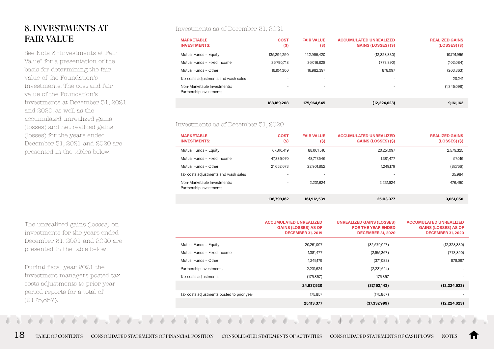# 8. INVESTMENTS AT FAIR VALUE

See Note 3 "Investments at Fair Value" for a presentation of the basis for determining the fair value of the Foundation's investments. The cost and fair value of the Foundation's investments at December 31, 2021 and 2020, as well as the accumulated unrealized gains (losses) and net realized gains (losses) for the years ended December 31, 2021 and 2020 are presented in the tables below:

The unrealized gains (losses) on investments for the years-ended December 31, 2021 and 2020 are presented in the table below:

During fiscal year 2021 the investment managers posted tax costs adjustments to prior year period reports for a total of (\$175,857).

#### Investments as of December 31, 2021

| <b>MARKETABLE</b><br><b>INVESTMENTS:</b>               | <b>COST</b><br>$(\$)$    | <b>FAIR VALUE</b><br>(S) | <b>ACCUMULATED UNREALIZED</b><br><b>GAINS (LOSSES) (\$)</b> | <b>REALIZED GAINS</b><br>$(LOSSES)$ $(S)$ |
|--------------------------------------------------------|--------------------------|--------------------------|-------------------------------------------------------------|-------------------------------------------|
| Mutual Funds - Equity                                  | 135,294,250              | 122,965,420              | (12,328,830)                                                | 10,791,966                                |
| Mutual Funds - Fixed Income                            | 36,790,718               | 36,016,828               | (773,890)                                                   | (102,084)                                 |
| Mutual Funds - Other                                   | 16,104,300               | 16,982,397               | 878,097                                                     | (203, 863)                                |
| Tax costs adjustments and wash sales                   |                          | $\overline{\phantom{a}}$ |                                                             | 20,241                                    |
| Non-Marketable Investments:<br>Partnership investments | $\overline{\phantom{a}}$ | $\overline{\phantom{a}}$ | $\overline{\phantom{a}}$                                    | (1,345,098)                               |
|                                                        | 188,189,268              | 175,964,645              | (12, 224, 623)                                              | 9,161,162                                 |

#### Investments as of December 31, 2020

| <b>MARKETABLE</b><br><b>INVESTMENTS:</b>               | <b>COST</b><br>(S)       | <b>FAIR VALUE</b><br>$(\$)$ | <b>ACCUMULATED UNREALIZED</b><br><b>GAINS (LOSSES) (\$)</b> | <b>REALIZED GAINS</b><br>$(LOSSES)$ $(S)$ |
|--------------------------------------------------------|--------------------------|-----------------------------|-------------------------------------------------------------|-------------------------------------------|
| Mutual Funds - Equity                                  | 67,810,419               | 88,061,516                  | 20,251,097                                                  | 2,579,325                                 |
| Mutual Funds - Fixed Income                            | 47,336,070               | 48.717.546                  | 1,381,477                                                   | 57,016                                    |
| Mutual Funds - Other                                   | 21,652,673               | 22,901,852                  | 1,249,179                                                   | (87,766)                                  |
| Tax costs adjustments and wash sales                   | $\overline{\phantom{a}}$ |                             | $\overline{\phantom{a}}$                                    | 35,984                                    |
| Non-Marketable Investments:<br>Partnership investments | $\overline{\phantom{a}}$ | 2.231,624                   | 2,231,624                                                   | 476,490                                   |
|                                                        | 136,799,162              | 161,912,539                 | 25,113,377                                                  | 3,061,050                                 |

|                                            | <b>ACCUMULATED UNREALIZED</b><br><b>GAINS (LOSSES) AS OF</b><br><b>DECEMBER 31, 2019</b> | <b>UNREALIZED GAINS (LOSSES)</b><br><b>FOR THE YEAR ENDED</b><br><b>DECEMBER 31, 2020</b> | <b>ACCUMULATED UNREALIZED</b><br><b>GAINS (LOSSES) AS OF</b><br><b>DECEMBER 31, 2020</b> |
|--------------------------------------------|------------------------------------------------------------------------------------------|-------------------------------------------------------------------------------------------|------------------------------------------------------------------------------------------|
| Mutual Funds - Equity                      | 20,251,097                                                                               | (32,579,927)                                                                              | (12,328,830)                                                                             |
| Mutual Funds - Fixed Income                | 1,381,477                                                                                | (2,155,367)                                                                               | (773, 890)                                                                               |
| Mutual Funds - Other                       | 1,249,179                                                                                | (371,082)                                                                                 | 878,097                                                                                  |
| Partnership Investments                    | 2,231,624                                                                                | (2,231,624)                                                                               |                                                                                          |
| Tax costs adjustments                      | (175, 857)                                                                               | 175,857                                                                                   |                                                                                          |
|                                            | 24,937,520                                                                               | (37,162,143)                                                                              | (12, 224, 623)                                                                           |
| Tax costs adjustments posted to prior year | 175,857                                                                                  | (175, 857)                                                                                |                                                                                          |
|                                            | 25,113,377                                                                               | (37, 337, 999)                                                                            | (12, 224, 623)                                                                           |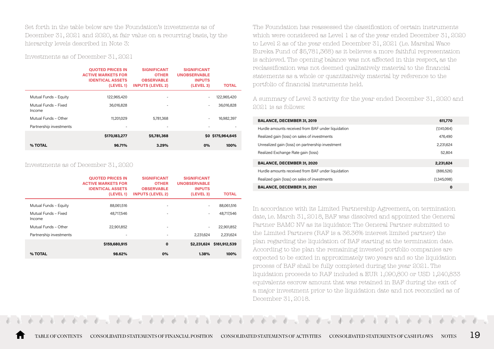Set forth in the table below are the Foundation's investments as of December 31, 2021 and 2020, at fair value on a recurring basis, by the hierarchy levels described in Note 3:

Investments as of December 31, 2021

|                                | <b>QUOTED PRICES IN</b><br><b>ACTIVE MARKETS FOR</b><br><b>IDENTICAL ASSETS</b><br>(LEVEL 1) | <b>SIGNIFICANT</b><br><b>OTHER</b><br><b>OBSERVABLE</b><br><b>INPUTS (LEVEL 2)</b> | <b>SIGNIFICANT</b><br><b>UNOBSERVABLE</b><br><b>INPUTS</b><br>(LEVEL 3) | <b>TOTAL</b>      |
|--------------------------------|----------------------------------------------------------------------------------------------|------------------------------------------------------------------------------------|-------------------------------------------------------------------------|-------------------|
| Mutual Funds - Equity          | 122,965,420                                                                                  | ۰                                                                                  | ٠                                                                       | 122,965,420       |
| Mutual Funds - Fixed<br>Income | 36,016,828                                                                                   | ۰                                                                                  | $\overline{\phantom{a}}$                                                | 36,016,828        |
| Mutual Funds - Other           | 11,201,029                                                                                   | 5.781.368                                                                          | $\overline{\phantom{a}}$                                                | 16,982,397        |
| Partnership investments        | -                                                                                            | ۰                                                                                  | $\overline{\phantom{a}}$                                                |                   |
|                                | \$170,183,277                                                                                | \$5,781,368                                                                        |                                                                         | \$0 \$175,964,645 |
| % TOTAL                        | 96.71%                                                                                       | 3.29%                                                                              | 0%                                                                      | 100%              |

#### Investments as of December 31, 2020

|                                | <b>QUOTED PRICES IN</b><br><b>ACTIVE MARKETS FOR</b><br><b>IDENTICAL ASSETS</b><br>(LEVEL 1) | <b>SIGNIFICANT</b><br><b>OTHER</b><br><b>OBSERVABLE</b><br><b>INPUTS (LEVEL 2)</b> | <b>SIGNIFICANT</b><br><b>UNOBSERVABLE</b><br><b>INPUTS</b><br>(LEVEL 3) | <b>TOTAL</b>  |
|--------------------------------|----------------------------------------------------------------------------------------------|------------------------------------------------------------------------------------|-------------------------------------------------------------------------|---------------|
| Mutual Funds - Equity          | 88,061,516                                                                                   | ٠                                                                                  | -                                                                       | 88,061,516    |
| Mutual Funds - Fixed<br>Income | 48.717.546                                                                                   | ٠                                                                                  | $\overline{\phantom{a}}$                                                | 48.717.546    |
| Mutual Funds - Other           | 22,901,852                                                                                   | $\overline{\phantom{a}}$                                                           | $\overline{\phantom{a}}$                                                | 22,901,852    |
| Partnership investments        | $\overline{\phantom{a}}$                                                                     | ۰                                                                                  | 2.231.624                                                               | 2,231,624     |
|                                | \$159,680,915                                                                                | $\mathbf 0$                                                                        | \$2,231,624                                                             | \$161,912,539 |
| % TOTAL                        | 98.62%                                                                                       | 0%                                                                                 | 1.38%                                                                   | 100%          |

The Foundation has reassessed the classification of certain instruments which were considered as Level 1 as of the year ended December 31, 2020 to Level 2 as of the year ended December 31, 2021 (i.e. Marshal Wace Eureka Fund of \$5,781,368) as it believes a more faithful representation is achieved. The opening balance was not affected in this respect, as the reclassification was not deemed qualitatively material to the financial statements as a whole or quantitatively material by reference to the portfolio of financial instruments held.

A summary of Level 3 activity for the year ended December 31, 2020 and 2021 is as follows:

| <b>BALANCE, DECEMBER 31, 2019</b>                  | 611,770     |
|----------------------------------------------------|-------------|
| Hurdle amounts received from BAF under liquidation | (1,141,064) |
| Realized gain (loss) on sales of investments       | 476,490     |
| Unrealized gain (loss) on partnership investment   | 2,231,624   |
| Realized Exchange Rate gain (loss)                 | 52,804      |
| <b>BALANCE, DECEMBER 31, 2020</b>                  | 2.231.624   |
| Hurdle amounts received from BAF under liquidation | (886, 526)  |
| Realized gain (loss) on sales of investments       | (1,345,098) |
| <b>BALANCE, DECEMBER 31, 2021</b>                  | 0           |

In accordance with its Limited Partnership Agreement, on termination date, i.e. March 31, 2018, BAF was dissolved and appointed the General Partner BAMC NV as its liquidator. The General Partner submitted to the Limited Partners (RAF is a 36.36% interest limited partner) the plan regarding the liquidation of BAF starting at the termination date. According to the plan the remaining invested portfolio companies are expected to be exited in approximately two years and so the liquidation process of BAF shall be fully completed during the year 2021. The liquidation proceeds to RAF included a EUR 1,090,800 or USD 1,240,833 equivalents escrow amount that was retained in BAF during the exit of a major investment prior to the liquidation date and not reconciled as of December 31, 2018.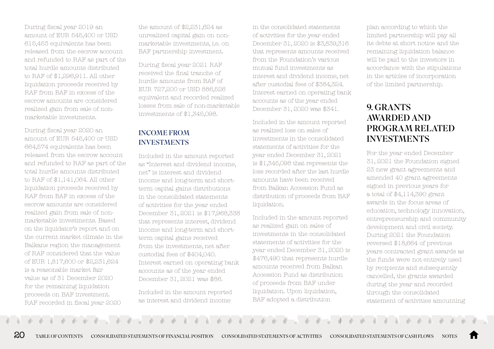During fiscal year 2019 an amount of EUR 545,400 or USD 615,453 equivalents has been released from the escrow account and refunded to RAF as part of the total hurdle amounts distributed to RAF of \$1,296,911. All other liquidation proceeds received by RAF from BAF in excess of the escrow amounts are considered realized gain from sale of nonmarketable investments.

During fiscal year 2020 an amount of EUR 545,400 or USD 664,574 equivalents has been released from the escrow account and refunded to RAF as part of the total hurdle amounts distributed to RAF of \$1,141,064. All other liquidation proceeds received by RAF from BAF in excess of the escrow amounts are considered realized gain from sale of nonmarketable investments. Based on the liquidator's report and on the current market climate in the Balkans region the management of RAF considered that the value of EUR 1,817,600 or \$2,231,624 is a reasonable market fair value as of 31 December 2020 for the remaining liquidation proceeds on BAF investment. RAF recorded in fiscal year 2020

the amount of \$2,231,624 as unrealized capital gain on nonmarketable investments, i.e. on BAF partnership investment.

During fiscal year 2021 RAF received the final tranche of hurdle amounts from BAF of EUR 727,200 or USD 886,526 equivalent and recorded realized losses from sale of non-marketable investments of \$1,345,098.

#### INCOME FROM **INVESTMENTS**

Included in the amount reported as "Interest and dividend income, net" is interest and dividend income and long-term and shortterm capital gains distributions in the consolidated statements of activities for the year ended December 31, 2021 is \$17,968,338 that represents interest, dividend income and long-term and shortterm capital gains received from the investments, net after custodial fees of \$404,040. Interest earned on operating bank accounts as of the year ended December 31, 2021 was \$86.

Included in the amount reported as interest and dividend income

in the consolidated statements of activities for the year ended December 31, 2020 is \$3,839,316 that represents amounts received from the Foundation's various mutual fund investments as interest and dividend income, net after custodial fees of \$384,324. Interest earned on operating bank accounts as of the year ended December 31, 2020 was \$341.

Included in the amount reported as realized loss on sales of investments in the consolidated statements of activities for the year ended December 31, 2021 is \$1,345,098 that represents the loss recorded after the last hurdle amounts have been received from Balkan Accession Fund as distribution of proceeds from BAF liquidation.

Included in the amount reported as realized gain on sales of investments in the consolidated statements of activities for the year ended December 31, 2020 is \$476,490 that represents hurdle amounts received from Balkan Accession Fund as distribution of proceeds from BAF under liquidation. Upon liquidation, BAF adopted a distribution

plan according to which the limited partnership will pay all its debts at short notice and the remaining liquidation balance will be paid to the investors in accordance with the stipulations in the articles of incorporation of the limited partnership.

## 9. GRANTS AWARDED AND PROGRAM RELATED INVESTMENTS

For the year ended December 31, 2021 the Foundation signed 23 new grant agreements and amended 40 grant agreements signed in previous years for a total of \$4,114,390 grant awards in the focus areas of education, technology innovation, entrepreneurship and community development and civil society. During 2021 the Foundation reversed \$18,664 of previous years contracted grant awards as the funds were not entirely used by recipients and subsequently cancelled, the grants awarded during the year and recorded through the consolidated statement of activities amounting

20 [TABLE OF CONTENTS](#page-2-0) [CONSOLIDATED STATEMENTS OF FINANCIAL POSITION](#page-3-0) [CONSOLIDATED STATEMENTS OF ACTIVITIES](#page-4-0) [CONSOLIDATED STATEMENTS OF CASH FLOWS](#page-6-0) [NOTES](#page-7-0)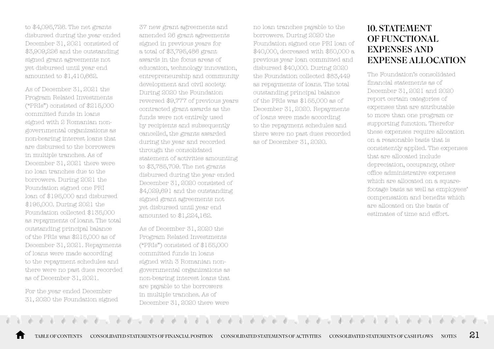to \$4,095,726. The net grants disbursed during the year ended December 31, 2021 consisted of \$3,909,226 and the outstanding signed grant agreements not yet disbursed until year end amounted to \$1,410,662.

As of December 31, 2021 the Program Related Investments ("PRIs") consisted of \$215,000 committed funds in loans signed with 2 Romanian nongovernmental organizations as non-bearing interest loans that are disbursed to the borrowers in multiple tranches. As of December 31, 2021 there were no loan tranches due to the borrowers. During 2021 the Foundation signed one PRI loan of \$195,000 and disbursed \$195,000. During 2021 the Foundation collected \$135,000 as repayments of loans. The total outstanding principal balance of the PRIs was \$215,000 as of December 31, 2021. Repayments of loans were made according to the repayment schedules and there were no past dues recorded as of December 31, 2021.

For the year ended December 31, 2020 the Foundation signed

37 new grant agreements and amended 26 grant agreements signed in previous years for a total of \$3,795,486 grant awards in the focus areas of education, technology innovation, entrepreneurship and community development and civil society. During 2020 the Foundation reversed \$9,777 of previous years contracted grant awards as the funds were not entirely used by recipients and subsequently cancelled, the grants awarded during the year and recorded through the consolidated statement of activities amounting to \$3,785,709. The net grants disbursed during the year ended December 31, 2020 consisted of \$4,029,691 and the outstanding signed grant agreements not yet disbursed until year end amounted to \$1,224,162.

As of December 31, 2020 the Program Related Investments ("PRIs") consisted of \$155,000 committed funds in loans signed with 3 Romanian nongovernmental organizations as non-bearing interest loans that are payable to the borrowers in multiple tranches. As of December 31, 2020 there were

no loan tranches payable to the borrowers. During 2020 the Foundation signed one PRI loan of \$40,000, decreased with \$50,000 a previous year loan committed and disbursed \$40,000. During 2020 the Foundation collected \$83,449 as repayments of loans. The total outstanding principal balance of the PRIs was \$155,000 as of December 31, 2020. Repayments of loans were made according to the repayment schedules and there were no past dues recorded as of December 31, 2020.

# 10. STATEMENT OF FUNCTIONAL EXPENSES AND EXPENSE ALLOCATION

The Foundation's consolidated financial statements as of December 31, 2021 and 2020 report certain categories of expenses that are attributable to more than one program or supporting function. Therefor these expenses require allocation on a reasonable basis that is consistently applied. The expenses that are allocated include depreciation, occupancy, other office administrative expenses which are allocated on a squarefootage basis as well as employees' compensation and benefits which are allocated on the basis of estimates of time and effort.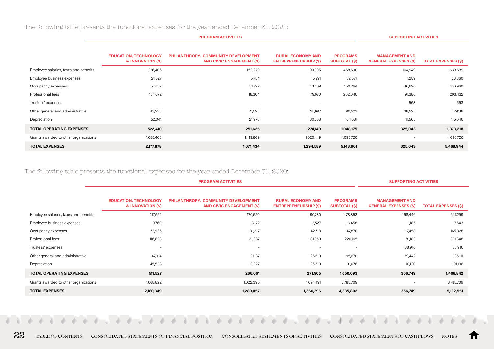The following table presents the functional expenses for the year ended December 31, 2021:

|                                       |                                                   | <b>SUPPORTING ACTIVITIES</b>                                            |                                                          |                                         |                                                       |                            |
|---------------------------------------|---------------------------------------------------|-------------------------------------------------------------------------|----------------------------------------------------------|-----------------------------------------|-------------------------------------------------------|----------------------------|
|                                       | <b>EDUCATION, TECHNOLOGY</b><br>& INNOVATION (\$) | PHILANTHROPY, COMMUNITY DEVELOPMENT<br><b>AND CIVIC ENGAGEMENT (\$)</b> | <b>RURAL ECONOMY AND</b><br><b>ENTREPRENEURSHIP (\$)</b> | <b>PROGRAMS</b><br><b>SUBTOTAL (\$)</b> | <b>MANAGEMENT AND</b><br><b>GENERAL EXPENSES (\$)</b> | <b>TOTAL EXPENSES (\$)</b> |
| Employee salaries, taxes and benefits | 226,406                                           | 152,279                                                                 | 90,005                                                   | 468,690                                 | 164,949                                               | 633,639                    |
| Employee business expenses            | 21,527                                            | 5,754                                                                   | 5,291                                                    | 32,571                                  | 1,289                                                 | 33,860                     |
| Occupancy expenses                    | 75,132                                            | 31,722                                                                  | 43,409                                                   | 150,264                                 | 16,696                                                | 166,960                    |
| Professional fees                     | 104,072                                           | 18,304                                                                  | 79,670                                                   | 202,046                                 | 91,386                                                | 293,432                    |
| Trustees' expenses                    | ۰                                                 |                                                                         | $\overline{\phantom{a}}$                                 | $\overline{\phantom{a}}$                | 563                                                   | 563                        |
| Other general and administrative      | 43,233                                            | 21,593                                                                  | 25,697                                                   | 90,523                                  | 38,595                                                | 129,118                    |
| Depreciation                          | 52,041                                            | 21,973                                                                  | 30,068                                                   | 104,081                                 | 11,565                                                | 115,646                    |
| <b>TOTAL OPERATING EXPENSES</b>       | 522,410                                           | 251,625                                                                 | 274,140                                                  | 1,048,175                               | 325,043                                               | 1,373,218                  |
| Grants awarded to other organizations | 1,655,468                                         | 1,419,809                                                               | 1,020,449                                                | 4,095,726                               | $\overline{\phantom{a}}$                              | 4,095,726                  |
| <b>TOTAL EXPENSES</b>                 | 2,177,878                                         | 1,671,434                                                               | 1,294,589                                                | 5,143,901                               | 325,043                                               | 5,468,944                  |

The following table presents the functional expenses for the year ended December 31, 2020:

|                                       | <b>PROGRAM ACTIVITIES</b>                         |                                                                  |                                                          |                                         |                                                       | <b>SUPPORTING ACTIVITIES</b> |  |
|---------------------------------------|---------------------------------------------------|------------------------------------------------------------------|----------------------------------------------------------|-----------------------------------------|-------------------------------------------------------|------------------------------|--|
|                                       | <b>EDUCATION, TECHNOLOGY</b><br>& INNOVATION (\$) | PHILANTHROPY, COMMUNITY DEVELOPMENT<br>AND CIVIC ENGAGEMENT (\$) | <b>RURAL ECONOMY AND</b><br><b>ENTREPRENEURSHIP (\$)</b> | <b>PROGRAMS</b><br><b>SUBTOTAL (\$)</b> | <b>MANAGEMENT AND</b><br><b>GENERAL EXPENSES (\$)</b> | <b>TOTAL EXPENSES (\$)</b>   |  |
| Employee salaries, taxes and benefits | 217,552                                           | 170,520                                                          | 90,780                                                   | 478,853                                 | 168,446                                               | 647,299                      |  |
| Employee business expenses            | 9,760                                             | 3,172                                                            | 3,527                                                    | 16,458                                  | 1.185                                                 | 17,643                       |  |
| Occupancy expenses                    | 73,935                                            | 31,217                                                           | 42,718                                                   | 147,870                                 | 17,458                                                | 165,328                      |  |
| Professional fees                     | 116,828                                           | 21,387                                                           | 81,950                                                   | 220,165                                 | 81,183                                                | 301,348                      |  |
| Trustees' expenses                    | $\overline{\phantom{a}}$                          | $\overline{\phantom{a}}$                                         | $\overline{\phantom{a}}$                                 |                                         | 38,916                                                | 38,916                       |  |
| Other general and administrative      | 47,914                                            | 21,137                                                           | 26,619                                                   | 95,670                                  | 39,442                                                | 135,111                      |  |
| Depreciation                          | 45,538                                            | 19,227                                                           | 26,310                                                   | 91,076                                  | 10,120                                                | 101,196                      |  |
| <b>TOTAL OPERATING EXPENSES</b>       | 511,527                                           | 266,661                                                          | 271,905                                                  | 1,050,093                               | 356,749                                               | 1,406,842                    |  |
| Grants awarded to other organizations | 1,668,822                                         | 1,022,396                                                        | 1,094,491                                                | 3,785,709                               | $\overline{\phantom{a}}$                              | 3,785,709                    |  |
| <b>TOTAL EXPENSES</b>                 | 2,180,349                                         | 1,289,057                                                        | 1,366,396                                                | 4,835,802                               | 356,749                                               | 5,192,551                    |  |

**Contract Contract** 

22 [TABLE OF CONTENTS](#page-2-0) [CONSOLIDATED STATEMENTS OF FINANCIAL POSITION](#page-3-0) [CONSOLIDATED STATEMENTS OF ACTIVITIES](#page-4-0) [CONSOLIDATED STATEMENTS OF CASH FLOWS](#page-6-0) [NOTES](#page-7-0)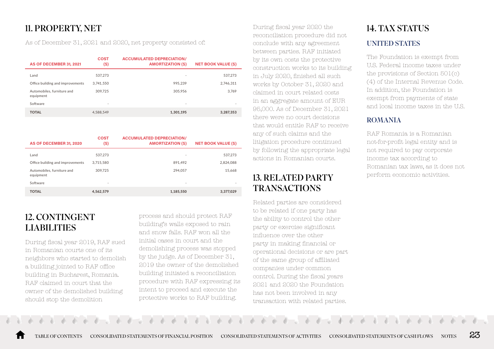# 11. PROPERTY, NET

As of December 31, 2021 and 2020, net property consisted of:

| AS OF DECEMBER 31, 2021                 | <b>COST</b><br>(S) | <b>ACCUMULATED DEPRECIATION/</b><br><b>AMORTIZATION (\$)</b> | <b>NET BOOK VALUE (\$)</b> |
|-----------------------------------------|--------------------|--------------------------------------------------------------|----------------------------|
| Land                                    | 537.273            | $\sim$                                                       | 537.273                    |
| Office building and improvements        | 3.741.550          | 995.239                                                      | 2.746.311                  |
| Automobiles, furniture and<br>equipment | 309.725            | 305.956                                                      | 3.769                      |
| Software                                | ٠                  | $\sim$                                                       | ٠                          |
| <b>TOTAL</b>                            | 4.588.549          | 1.301.195                                                    | 3.287.353                  |

| AS OF DECEMBER 31, 2020                 | <b>COST</b><br>(S) | <b>ACCUMULATED DEPRECIATION/</b><br><b>AMORTIZATION (\$)</b> | <b>NET BOOK VALUE (\$)</b> |
|-----------------------------------------|--------------------|--------------------------------------------------------------|----------------------------|
| Land                                    | 537.273            | ۰                                                            | 537,273                    |
| Office building and improvements        | 3.715.580          | 891.492                                                      | 2.824.088                  |
| Automobiles, furniture and<br>equipment | 309.725            | 294.057                                                      | 15.668                     |
| Software                                | ٠                  | $\sim$                                                       | ٠                          |
| <b>TOTAL</b>                            | 4.562.579          | 1.185.550                                                    | 3.377.029                  |

# 12. CONTINGENT LIABILITIES

During fiscal year 2019, RAF sued in Romanian courts one of its neighbors who started to demolish a building jointed to RAF office building in Bucharest, Romania. RAF claimed in court that the owner of the demolished building should stop the demolition

process and should protect RAF building's walls exposed to rain and snow falls. RAF won all the initial cases in court and the demolishing process was stopped by the judge. As of December 31, 2019 the owner of the demolished building initiated a reconciliation procedure with RAF expressing its intent to proceed and execute the protective works to RAF building.

During fiscal year 2020 the reconciliation procedure did not conclude with any agreement between parties. RAF initiated by its own costs the protective construction works to its building in July 2020, finished all such works by October 31, 2020 and claimed in court related costs in an aggregate amount of EUR 95,000. As of December 31, 2021 there were no court decisions that would entitle RAF to receive any of such claims and the litigation procedure continued by following the appropriate legal actions in Romanian courts.

# 13. RELATED PARTY **TRANSACTIONS**

Related parties are considered to be related if one party has the ability to control the other party or exercise significant influence over the other party in making financial or operational decisions or are part of the same group of affiliated companies under common control. During the fiscal years 2021 and 2020 the Foundation has not been involved in any transaction with related parties.

# 14. TAX STATUS UNITED STATES

The Foundation is exempt from U.S. Federal income taxes under the provisions of Section 501(c) (4) of the Internal Revenue Code. In addition, the Foundation is exempt from payments of state and local income taxes in the U.S.

### ROMANIA

RAF Romania is a Romanian not-for-profit legal entity and is not required to pay corporate income tax according to Romanian tax laws, as it does not perform economic activities.